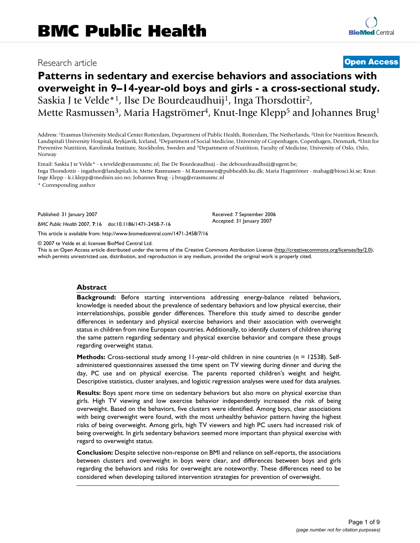# Research article **[Open Access](http://www.biomedcentral.com/info/about/charter/)**

# **Patterns in sedentary and exercise behaviors and associations with overweight in 9–14-year-old boys and girls - a cross-sectional study.** Saskia J te Velde<sup>\*1</sup>, Ilse De Bourdeaudhuij<sup>1</sup>, Inga Thorsdottir<sup>2</sup>, Mette Rasmussen<sup>3</sup>, Maria Hagströmer<sup>4</sup>, Knut-Inge Klepp<sup>5</sup> and Johannes Brug<sup>1</sup>

Address: 1Erasmus University Medical Center Rotterdam, Department of Public Health, Rotterdam, The Netherlands, 2Unit for Nutrition Research, Landspitali University Hospital, Reykjavik, Iceland, 3Department of Social Medicine, University of Copenhagen, Copenhagen, Denmark, 4Unit for Preventive Nutrition, Karolinska Institute, Stockholm, Sweden and 5Department of Nutrition, Faculty of Medicine, University of Oslo, Oslo, Norway

Email: Saskia J te Velde\* - s.tevelde@erasmusmc.nl; Ilse De Bourdeaudhuij - ilse.debourdeaudhuij@ugent.be; Inga Thorsdottir - ingathor@landspitali.is; Mette Rasmussen - M.Rasmussen@pubhealth.ku.dk; Maria Hagströmer - mahag@biosci.ki.se; Knut-Inge Klepp - k.i.klepp@medisin.uio.no; Johannes Brug - j.brug@erasmusmc.nl

> Received: 7 September 2006 Accepted: 31 January 2007

\* Corresponding author

Published: 31 January 2007

*BMC Public Health* 2007, **7**:16 doi:10.1186/1471-2458-7-16

[This article is available from: http://www.biomedcentral.com/1471-2458/7/16](http://www.biomedcentral.com/1471-2458/7/16)

© 2007 te Velde et al; licensee BioMed Central Ltd.

This is an Open Access article distributed under the terms of the Creative Commons Attribution License [\(http://creativecommons.org/licenses/by/2.0\)](http://creativecommons.org/licenses/by/2.0), which permits unrestricted use, distribution, and reproduction in any medium, provided the original work is properly cited.

#### **Abstract**

**Background:** Before starting interventions addressing energy-balance related behaviors, knowledge is needed about the prevalence of sedentary behaviors and low physical exercise, their interrelationships, possible gender differences. Therefore this study aimed to describe gender differences in sedentary and physical exercise behaviors and their association with overweight status in children from nine European countries. Additionally, to identify clusters of children sharing the same pattern regarding sedentary and physical exercise behavior and compare these groups regarding overweight status.

**Methods:** Cross-sectional study among 11-year-old children in nine countries (n = 12538). Selfadministered questionnaires assessed the time spent on TV viewing during dinner and during the day, PC use and on physical exercise. The parents reported children's weight and height. Descriptive statistics, cluster analyses, and logistic regression analyses were used for data analyses.

**Results:** Boys spent more time on sedentary behaviors but also more on physical exercise than girls. High TV viewing and low exercise behavior independently increased the risk of being overweight. Based on the behaviors, five clusters were identified. Among boys, clear associations with being overweight were found, with the most unhealthy behavior pattern having the highest risks of being overweight. Among girls, high TV viewers and high PC users had increased risk of being overweight. In girls sedentary behaviors seemed more important than physical exercise with regard to overweight status.

**Conclusion:** Despite selective non-response on BMI and reliance on self-reports, the associations between clusters and overweight in boys were clear, and differences between boys and girls regarding the behaviors and risks for overweight are noteworthy. These differences need to be considered when developing tailored intervention strategies for prevention of overweight.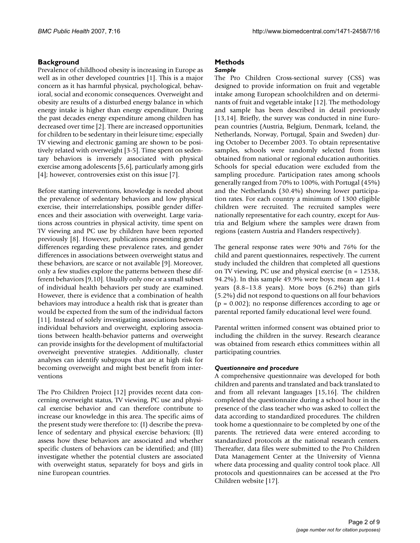# **Background**

Prevalence of childhood obesity is increasing in Europe as well as in other developed countries [1]. This is a major concern as it has harmful physical, psychological, behavioral, social and economic consequences. Overweight and obesity are results of a disturbed energy balance in which energy intake is higher than energy expenditure. During the past decades energy expenditure among children has decreased over time [2]. There are increased opportunities for children to be sedentary in their leisure time; especially TV viewing and electronic gaming are shown to be positively related with overweight [3-5]. Time spent on sedentary behaviors is inversely associated with physical exercise among adolescents [5,6], particularly among girls [4]; however, controversies exist on this issue [7].

Before starting interventions, knowledge is needed about the prevalence of sedentary behaviors and low physical exercise, their interrelationships, possible gender differences and their association with overweight. Large variations across countries in physical activity, time spent on TV viewing and PC use by children have been reported previously [8]. However, publications presenting gender differences regarding these prevalence rates, and gender differences in associations between overweight status and these behaviors, are scarce or not available [9]. Moreover, only a few studies explore the patterns between these different behaviors [9,10]. Usually only one or a small subset of individual health behaviors per study are examined. However, there is evidence that a combination of health behaviors may introduce a health risk that is greater than would be expected from the sum of the individual factors [11]. Instead of solely investigating associations between individual behaviors and overweight, exploring associations between health-behavior patterns and overweight can provide insights for the development of multifactorial overweight preventive strategies. Additionally, cluster analyses can identify subgroups that are at high risk for becoming overweight and might best benefit from interventions

The Pro Children Project [12] provides recent data concerning overweight status, TV viewing, PC use and physical exercise behavior and can therefore contribute to increase our knowledge in this area. The specific aims of the present study were therefore to: (I) describe the prevalence of sedentary and physical exercise behaviors; (II) assess how these behaviors are associated and whether specific clusters of behaviors can be identified; and (III) investigate whether the potential clusters are associated with overweight status, separately for boys and girls in nine European countries.

# **Methods**

## *Sample*

The Pro Children Cross-sectional survey (CSS) was designed to provide information on fruit and vegetable intake among European schoolchildren and on determinants of fruit and vegetable intake [12]. The methodology and sample has been described in detail previously [13,14]. Briefly, the survey was conducted in nine European countries (Austria, Belgium, Denmark, Iceland, the Netherlands, Norway, Portugal, Spain and Sweden) during October to December 2003. To obtain representative samples, schools were randomly selected from lists obtained from national or regional education authorities. Schools for special education were excluded from the sampling procedure. Participation rates among schools generally ranged from 70% to 100%, with Portugal (45%) and the Netherlands (30.4%) showing lower participation rates. For each country a minimum of 1300 eligible children were recruited. The recruited samples were nationally representative for each country, except for Austria and Belgium where the samples were drawn from regions (eastern Austria and Flanders respectively).

The general response rates were 90% and 76% for the child and parent questionnaires, respectively. The current study included the children that completed all questions on TV viewing, PC use and physical exercise (n = 12538, 94.2%). In this sample 49.9% were boys; mean age 11.4 years (8.8–13.8 years). More boys (6.2%) than girls (5.2%) did not respond to questions on all four behaviors  $(p = 0.002)$ ; no response differences according to age or parental reported family educational level were found.

Parental written informed consent was obtained prior to including the children in the survey. Research clearance was obtained from research ethics committees within all participating countries.

### *Questionnaire and procedure*

A comprehensive questionnaire was developed for both children and parents and translated and back translated to and from all relevant languages [15,16]. The children completed the questionnaire during a school hour in the presence of the class teacher who was asked to collect the data according to standardized procedures. The children took home a questionnaire to be completed by one of the parents. The retrieved data were entered according to standardized protocols at the national research centers. Thereafter, data files were submitted to the Pro Children Data Management Center at the University of Vienna where data processing and quality control took place. All protocols and questionnaires can be accessed at the Pro Children website [17].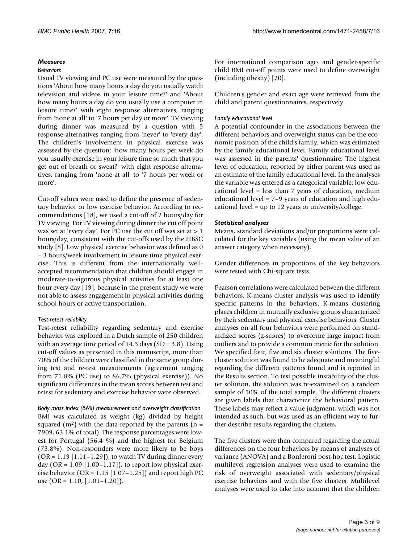#### *Measures*

#### *Behaviors*

Usual TV viewing and PC use were measured by the questions 'About how many hours a day do you usually watch television and videos in your leisure time?' and 'About how many hours a day do you usually use a computer in leisure time?' with eight response alternatives, ranging from 'none at all' to '7 hours per day or more'. TV viewing during dinner was measured by a question with 5 response alternatives ranging from 'never' to 'every day'. The children's involvement in physical exercise was assessed by the question: 'how many hours per week do you usually exercise in your leisure time so much that you get out of breath or sweat?' with eight response alternatives, ranging from 'none at all' to '7 hours per week or more'.

Cut-off values were used to define the presence of sedentary behavior or low exercise behavior. According to recommendations [18], we used a cut-off of 2 hours/day for TV viewing. For TV viewing during dinner the cut off point was set at 'every day'. For PC use the cut off was set at > 1 hours/day, consistent with the cut-offs used by the HBSC study [8]. Low physical exercise behavior was defined as 0 – 3 hours/week involvement in leisure time physical exercise. This is different from the internationally wellaccepted recommendation that children should engage in moderate-to-vigorous physical activities for at least one hour every day [19], because in the present study we were not able to assess engagement in physical activities during school hours or active transportation.

#### *Test-retest reliability*

Test-retest reliability regarding sedentary and exercise behavior was explored in a Dutch sample of 250 children with an average time period of 14.3 days (SD = 3.8). Using cut-off values as presented in this manuscript, more than 70% of the children were classified in the same group during test and re-test measurements (agreement ranging from 71.8% (PC use) to 86.7% (physical exercise)). No significant differences in the mean scores between test and retest for sedentary and exercise behavior were observed.

*Body mass index (BMI) measurement and overweight classification* BMI was calculated as weight (kg) divided by height squared  $(m^2)$  with the data reported by the parents  $(n =$ 7909, 63.1% of total). The response percentages were lowest for Portugal (56.4 %) and the highest for Belgium (73.8%). Non-responders were more likely to be boys  $(OR = 1.19 [1.11-1.29])$ , to watch TV during dinner every day (OR =  $1.09$  [1.00–1.17]), to report low physical exercise behavior (OR =  $1.15$  [1.07–1.25]) and report high PC use (OR = 1.10,  $[1.01-1.20]$ ).

For international comparison age- and gender-specific child BMI cut-off points were used to define overweight (including obesity) [20].

Children's gender and exact age were retrieved from the child and parent questionnaires, respectively.

#### *Family educational level*

A potential confounder in the associations between the different behaviors and overweight status can be the economic position of the child's family, which was estimated by the family educational level. Family educational level was assessed in the parents' questionnaire. The highest level of education, reported by either parent was used as an estimate of the family educational level. In the analyses the variable was entered as a categorical variable: low educational level = less than 7 years of education, medium educational level = 7–9 years of education and high educational level = up to 12 years or university/college.

#### *Statistical analyses*

Means, standard deviations and/or proportions were calculated for the key variables (using the mean value of an answer category when necessary).

Gender differences in proportions of the key behaviors were tested with Chi-square tests.

Pearson correlations were calculated between the different behaviors. K-means cluster analysis was used to identify specific patterns in the behaviors. K-means clustering places children in mutually exclusive groups characterized by their sedentary and physical exercise behaviors. Cluster analyses on all four behaviors were performed on standardized scores (z-scores) to overcome large impact from outliers and to provide a common metric for the solution. We specified four, five and six cluster solutions. The fivecluster solution was found to be adequate and meaningful regarding the different patterns found and is reported in the Results section. To test possible instability of the cluster solution, the solution was re-examined on a random sample of 50% of the total sample. The different clusters are given labels that characterize the behavioral pattern. These labels may reflect a value judgment, which was not intended as such, but was used as an efficient way to further describe results regarding the clusters.

The five clusters were then compared regarding the actual differences on the four behaviors by means of analyses of variance (ANOVA) and a Bonferoni post-hoc test. Logistic multilevel regression analyses were used to examine the risk of overweight associated with sedentary/physical exercise behaviors and with the five clusters. Multilevel analyses were used to take into account that the children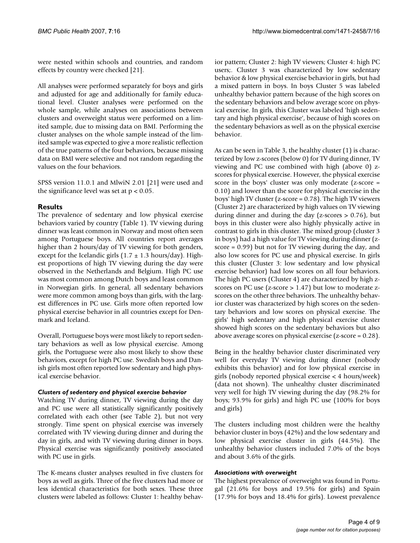were nested within schools and countries, and random effects by country were checked [21].

All analyses were performed separately for boys and girls and adjusted for age and additionally for family educational level. Cluster analyses were performed on the whole sample, while analyses on associations between clusters and overweight status were performed on a limited sample, due to missing data on BMI. Performing the cluster analyses on the whole sample instead of the limited sample was expected to give a more realistic reflection of the true patterns of the four behaviors, because missing data on BMI were selective and not random regarding the values on the four behaviors.

SPSS version 11.0.1 and MlwiN 2.01 [21] were used and the significance level was set at  $p < 0.05$ .

# **Results**

The prevalence of sedentary and low physical exercise behaviors varied by country (Table 1). TV viewing during dinner was least common in Norway and most often seen among Portuguese boys. All countries report averages higher than 2 hours/day of TV viewing for both genders, except for the Icelandic girls  $(1.7 \pm 1.3 \text{ hours/day})$ . Highest proportions of high TV viewing during the day were observed in the Netherlands and Belgium. High PC use was most common among Dutch boys and least common in Norwegian girls. In general, all sedentary behaviors were more common among boys than girls, with the largest differences in PC use. Girls more often reported low physical exercise behavior in all countries except for Denmark and Iceland.

Overall, Portuguese boys were most likely to report sedentary behaviors as well as low physical exercise. Among girls, the Portuguese were also most likely to show these behaviors, except for high PC use. Swedish boys and Danish girls most often reported low sedentary and high physical exercise behavior.

# *Clusters of sedentary and physical exercise behavior*

Watching TV during dinner, TV viewing during the day and PC use were all statistically significantly positively correlated with each other (see Table 2), but not very strongly. Time spent on physical exercise was inversely correlated with TV viewing during dinner and during the day in girls, and with TV viewing during dinner in boys. Physical exercise was significantly positively associated with PC use in girls.

The K-means cluster analyses resulted in five clusters for boys as well as girls. Three of the five clusters had more or less identical characteristics for both sexes. These three clusters were labeled as follows: Cluster 1: healthy behavior pattern; Cluster 2: high TV viewers; Cluster 4: high PC users;. Cluster 3 was characterized by low sedentary behavior & low physical exercise behavior in girls, but had a mixed pattern in boys. In boys Cluster 5 was labeled unhealthy behavior pattern because of the high scores on the sedentary behaviors and below average score on physical exercise. In girls, this Cluster was labeled 'high sedentary and high physical exercise', because of high scores on the sedentary behaviors as well as on the physical exercise behavior.

As can be seen in Table 3, the healthy cluster (1) is characterized by low z-scores (below 0) for TV during dinner, TV viewing and PC use combined with high (above 0) zscores for physical exercise. However, the physical exercise score in the boys' cluster was only moderate (z-score = 0.10) and lower than the score for physical exercise in the boys' high TV cluster (z-score = 0.78). The high TV viewers (Cluster 2) are characterized by high values on TV viewing during dinner and during the day ( $z$ -scores  $> 0.76$ ), but boys in this cluster were also highly physically active in contrast to girls in this cluster. The mixed group (cluster 3 in boys) had a high value for TV viewing during dinner (zscore = 0.99) but not for TV viewing during the day, and also low scores for PC use and physical exercise. In girls this cluster (Cluster 3: low sedentary and low physical exercise behavior) had low scores on all four behaviors. The high PC users (Cluster 4) are characterized by high zscores on PC use (z-score > 1.47) but low to moderate zscores on the other three behaviors. The unhealthy behavior cluster was characterized by high scores on the sedentary behaviors and low scores on physical exercise. The girls' high sedentary and high physical exercise cluster showed high scores on the sedentary behaviors but also above average scores on physical exercise (z-score = 0.28).

Being in the healthy behavior cluster discriminated very well for everyday TV viewing during dinner (nobody exhibits this behavior) and for low physical exercise in girls (nobody reported physical exercise < 4 hours/week) (data not shown). The unhealthy cluster discriminated very well for high TV viewing during the day (98.2% for boys; 93.9% for girls) and high PC use (100% for boys and girls)

The clusters including most children were the healthy behavior cluster in boys (42%) and the low sedentary and low physical exercise cluster in girls (44.5%). The unhealthy behavior clusters included 7.0% of the boys and about 3.6% of the girls.

### *Associations with overweight*

The highest prevalence of overweight was found in Portugal (21.6% for boys and 19.5% for girls) and Spain (17.9% for boys and 18.4% for girls). Lowest prevalence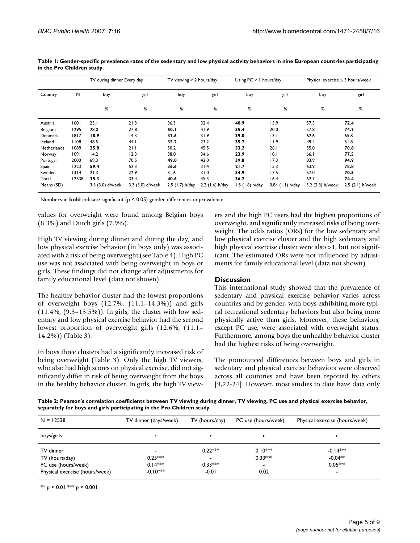| Country     |        | TV during dinner Every day | $TV$ viewing $> 2$ hours/day |                 | Using $PC > 1$ hours/day |                   |                  |                  | Physical exercise $\leq$ 3 hours/week |  |
|-------------|--------|----------------------------|------------------------------|-----------------|--------------------------|-------------------|------------------|------------------|---------------------------------------|--|
|             | N      | boy                        | girl                         | boy             | girl                     | boy               | girl             | boy              | girl                                  |  |
|             |        | %                          | %                            | %               | %                        | %                 | %                | %                | %                                     |  |
| Austria     | 1601   | 23.1                       | 21.3                         | 36.3            | 32.4                     | 40.9              | 15.9             | 57.5             | 72.4                                  |  |
| Belgium     | 1295   | 28.0                       | 27.8                         | 50.1            | 41.9                     | 35.4              | 20.0             | 57.8             | 74.7                                  |  |
| Denmark     | 1817   | 18.9                       | 14.3                         | 37.6            | 31.9                     | 39.0              | 13.1             | 62.6             | 65.8                                  |  |
| Iceland     | 1108   | 48.5                       | 44.1                         | 35.2            | 23.2                     | 35.7              | 11.9             | 49.4             | 51.8                                  |  |
| Netherlands | 1089   | 25.8                       | 21.1                         | 50.2            | 45.5                     | 53.2              | 26.1             | 55.0             | 70.8                                  |  |
| Norway      | 1091   | 14.2                       | 12.3                         | 38.0            | 34.6                     | 23.9              | 10.1             | 66.1             | 77.5                                  |  |
| Portugal    | 2000   | 69.3                       | 70.5                         | 49.0            | 42.0                     | 39.8              | 17.3             | 83.9             | 94.9                                  |  |
| Spain       | 1223   | 59.4                       | 52.3                         | 36.6            | 31.4                     | 21.7              | 15.3             | 63.9             | 78.8                                  |  |
| Sweden      | $1314$ | 21.3                       | 22.9                         | 31.6            | 31.0                     | 34.9              | 17.5             | 57.0             | 70.5                                  |  |
| Total       | 12538  | 35.3                       | 33.4                         | 40.6            | 35.3                     | 36.2              | 16.4             | 62.7             | 74.4                                  |  |
| Means (SD)  |        | 3.5 (3.0) d/week           | 3.3 (3.0) d/week             | 2.5 (1.7) h/day | 2.2 (1.6) h/day          | $1.5$ (1.6) h/day | 0.84 (1.1) h/day | 3.2 (2.3) h/week | 2.5 (2.1) h/week                      |  |

**Table 1: Gender-specific prevalence rates of the sedentary and low physical activity behaviors in nine European countries participating in the Pro Children study.**

Numbers in **bold** indicate significant (p < 0.05) gender differences in prevalence

values for overweight were found among Belgian boys (8.3%) and Dutch girls (7.9%).

High TV viewing during dinner and during the day, and low physical exercise behavior (in boys only) was associated with a risk of being overweight (see Table 4). High PC use was not associated with being overweight in boys or girls. These findings did not change after adjustments for family educational level (data not shown).

The healthy behavior cluster had the lowest proportions of overweight boys (12.7%, (11.1–14.3%)) and girls (11.4%, (9.3–13.5%)). In girls, the cluster with low sedentary and low physical exercise behavior had the second lowest proportion of overweight girls (12.6%, (11.1– 14.2%)) (Table 3).

In boys three clusters had a significantly increased risk of being overweight (Table 3). Only the high TV viewers, who also had high scores on physical exercise, did not significantly differ in risk of being overweight from the boys in the healthy behavior cluster. In girls, the high TV viewers and the high PC users had the highest proportions of overweight, and significantly increased risks of being overweight. The odds ratios (ORs) for the low sedentary and low physical exercise cluster and the high sedentary and high physical exercise cluster were also >1, but not significant. The estimated ORs were not influenced by adjustments for family educational level (data not shown)

# **Discussion**

This international study showed that the prevalence of sedentary and physical exercise behavior varies across countries and by gender, with boys exhibiting more typical recreational sedentary behaviors but also being more physically active than girls. Moreover, these behaviors, except PC use, were associated with overweight status. Furthermore, among boys the unhealthy behavior cluster had the highest risks of being overweight.

The pronounced differences between boys and girls in sedentary and physical exercise behaviors were observed across all countries and have been reported by others [9,22-24]. However, most studies to date have data only

**Table 2: Pearson's correlation coefficients between TV viewing during dinner, TV viewing, PC use and physical exercise behavior, separately for boys and girls participating in the Pro Children study.**

| $N = 12538$                    | TV dinner (days/week) | TV (hours/day) | PC use (hours/week) | Physical exercise (hours/week) |
|--------------------------------|-----------------------|----------------|---------------------|--------------------------------|
| boys/girls                     |                       |                |                     |                                |
| TV dinner                      |                       | $0.22***$      | $0.10***$           | $-0.14***$                     |
| TV (hours/day)                 | $0.25***$             |                | $0.33***$           | $-0.04**$                      |
| PC use (hours/week)            | $0.14***$             | $0.33***$      |                     | $0.05***$                      |
| Physical exercise (hours/week) | $-0.10***$            | $-0.01$        | 0.02                | -                              |

\*\*  $p \le 0.01$  \*\*\*  $p \le 0.001$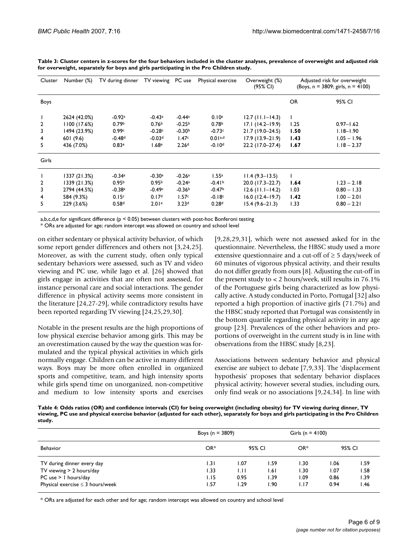| Cluster | Number (%)   | TV during dinner  | TV viewing PC use |                   | Physical exercise | Overweight (%)<br>(95% CI) | Adjusted risk for overweight<br>(Boys, $n = 3809$ ; girls, $n = 4100$ ) |               |
|---------|--------------|-------------------|-------------------|-------------------|-------------------|----------------------------|-------------------------------------------------------------------------|---------------|
| Boys    |              |                   |                   |                   |                   |                            | <b>OR</b>                                                               | 95% CI        |
|         | 2624 (42.0%) | $-0.92a$          | $-0.43a$          | $-0.44a$          | 0.10 <sup>a</sup> | $12.7$ (11.1–14.3)         |                                                                         |               |
| 2       | 1100 (17.6%) | 0.79 <sub>b</sub> | 0.76 <sup>b</sup> | $-0.25b$          | 0.78 <sup>b</sup> | $17.1(14.2-19.9)$          | 1.25                                                                    | $0.97 - 1.62$ |
| 3       | 1494 (23.9%) | 0.99c             | $-0.28c$          | $-0.30b$          | $-0.73c$          | 21.7 (19.0-24.5)           | 1.50                                                                    | $1.18 - 1.90$ |
| 4       | 601(9.6)     | $-0.48d$          | $-0.03d$          | 1.47c             | 0.01a,d           | $17.9(13.9 - 21.9)$        | 1.43                                                                    | $1.05 - 1.96$ |
| 5.      | 436 (7.0%)   | 0.83e             | 1.68e             | 2.26 <sup>d</sup> | $-0.10d$          | 22.2 (17.0-27.4)<br>1.67   |                                                                         | $1.18 - 2.37$ |
| Girls   |              |                   |                   |                   |                   |                            |                                                                         |               |
|         | 1337 (21.3%) | $-0.34a$          | $-0.30a$          | $-0.26a$          | 1.55a             | $11.4(9.3-13.5)$           |                                                                         |               |
| 2       | 1339 (21.3%) | 0.95 <sup>b</sup> | 0.95 <sup>b</sup> | $-0.24a$          | $-0.41b$          | 20.0 (17.3-22.7)           | 1.64                                                                    | $1.23 - 2.18$ |
| 3       | 2794 (44.5%) | $-0.38a$          | $-0.49c$          | $-0.36b$          | $-0.47b$          | $12.6$ ( $11.1 - 14.2$ )   | 1.03                                                                    | $0.80 - 1.33$ |
| 4       | 584 (9.3%)   | 0.15c             | 0.17 <sup>d</sup> | 1.57c             | $-0.18c$          | $16.0$ (12.4–19.7)         | 1.42                                                                    | $1.00 - 2.01$ |
| 5       | 229 (3.6%)   | 0.58d             | 2.01e             | 3.23 <sup>d</sup> | 0.28d             | $15.4(9.6-21.3)$           | 1.33                                                                    | $0.80 - 2.21$ |

**Table 3: Cluster centers in z-scores for the four behaviors included in the cluster analyses, prevalence of overweight and adjusted risk for overweight, separately for boys and girls participating in the Pro Children study.**

a,b,c,d,e for significant difference ( $p < 0.05$ ) between clusters with post-hoc Bonferoni testing

\* ORs are adjusted for age; random intercept was allowed on country and school level

on either sedentary or physical activity behavior, of which some report gender differences and others not [3,24,25]. Moreover, as with the current study, often only typical sedentary behaviors were assessed, such as TV and video viewing and PC use, while Jago et al. [26] showed that girls engage in activities that are often not assessed, for instance personal care and social interactions. The gender difference in physical activity seems more consistent in the literature [24,27-29], while contradictory results have been reported regarding TV viewing [24,25,29,30].

Notable in the present results are the high proportions of low physical exercise behavior among girls. This may be an overestimation caused by the way the question was formulated and the typical physical activities in which girls normally engage. Children can be active in many different ways. Boys may be more often enrolled in organized sports and competitive, team, and high intensity sports while girls spend time on unorganized, non-competitive and medium to low intensity sports and exercises [9,28,29,31], which were not assessed asked for in the questionnaire. Nevertheless, the HBSC study used a more extensive questionnaire and a cut-off of  $\geq$  5 days/week of 60 minutes of vigorous physical activity, and their results do not differ greatly from ours [8]. Adjusting the cut-off in the present study to < 2 hours/week, still results in 76.1% of the Portuguese girls being characterized as low physically active. A study conducted in Porto, Portugal [32] also reported a high proportion of inactive girls (71.7%) and the HBSC study reported that Portugal was consistently in the bottom quartile regarding physical activity in any age group [23]. Prevalences of the other behaviors and proportions of overweight in the current study is in line with observations from the HBSC study [8,23].

Associations between sedentary behavior and physical exercise are subject to debate [7,9,33]. The 'displacement hypothesis' proposes that sedentary behavior displaces physical activity; however several studies, including ours, only find weak or no associations [9,24,34]. In line with

**Table 4: Odds ratios (OR) and confidence intervals (CI) for being overweight (including obesity) for TV viewing during dinner, TV viewing, PC use and physical exercise behavior (adjusted for each other), separately for boys and girls participating in the Pro Children study.**

|                                       | Boys ( $n = 3809$ ) | Girls ( $n = 4100$ ) |         |       |        |      |
|---------------------------------------|---------------------|----------------------|---------|-------|--------|------|
| Behavior                              | $OR*$               | 95% CI               |         | $OR*$ | 95% CI |      |
| TV during dinner every day            | 1.31                | 1.07                 | I.59    | 1.30  | 1.06   | 1.59 |
| $TV$ viewing $> 2$ hours/day          | 1.33                | 1.11                 | I.61    | 1.30  | 1.07   | 1.58 |
| $PC$ use $> 1$ hours/day              | 1.15                | 0.95                 | 1.39    | 1.09  | 0.86   | 1.39 |
| Physical exercise $\leq$ 3 hours/week | l.57                | 1.29                 | . 90. ، | I.I7  | 0.94   | l.46 |

\* ORs are adjusted for each other and for age; random intercept was allowed on country and school level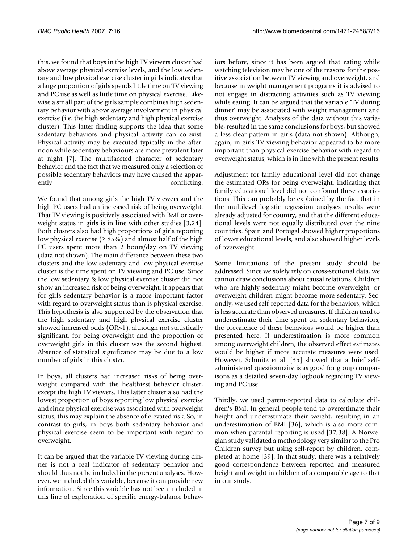this, we found that boys in the high TV viewers cluster had above average physical exercise levels, and the low sedentary and low physical exercise cluster in girls indicates that a large proportion of girls spends little time on TV viewing and PC use as well as little time on physical exercise. Likewise a small part of the girls sample combines high sedentary behavior with above average involvement in physical exercise (i.e. the high sedentary and high physical exercise cluster). This latter finding supports the idea that some sedentary behaviors and physical activity can co-exist. Physical activity may be executed typically in the afternoon while sedentary behaviours are more prevalent later at night [7]. The multifaceted character of sedentary behavior and the fact that we measured only a selection of possible sedentary behaviors may have caused the apparently conflicting.

We found that among girls the high TV viewers and the high PC users had an increased risk of being overweight. That TV viewing is positively associated with BMI or overweight status in girls is in line with other studies [3,24]. Both clusters also had high proportions of girls reporting low physical exercise ( $\geq$  85%) and almost half of the high PC users spent more than 2 hours/day on TV viewing (data not shown). The main difference between these two clusters and the low sedentary and low physical exercise cluster is the time spent on TV viewing and PC use. Since the low sedentary & low physical exercise cluster did not show an increased risk of being overweight, it appears that for girls sedentary behavior is a more important factor with regard to overweight status than is physical exercise. This hypothesis is also supported by the observation that the high sedentary and high physical exercise cluster showed increased odds (OR>1), although not statistically significant, for being overweight and the proportion of overweight girls in this cluster was the second highest. Absence of statistical significance may be due to a low number of girls in this cluster.

In boys, all clusters had increased risks of being overweight compared with the healthiest behavior cluster, except the high TV viewers. This latter cluster also had the lowest proportion of boys reporting low physical exercise and since physical exercise was associated with overweight status, this may explain the absence of elevated risk. So, in contrast to girls, in boys both sedentary behavior and physical exercise seem to be important with regard to overweight.

It can be argued that the variable TV viewing during dinner is not a real indicator of sedentary behavior and should thus not be included in the present analyses. However, we included this variable, because it can provide new information. Since this variable has not been included in this line of exploration of specific energy-balance behaviors before, since it has been argued that eating while watching television may be one of the reasons for the positive association between TV viewing and overweight, and because in weight management programs it is advised to not engage in distracting activities such as TV viewing while eating. It can be argued that the variable 'TV during dinner' may be associated with weight management and thus overweight. Analyses of the data without this variable, resulted in the same conclusions for boys, but showed a less clear pattern in girls (data not shown). Although, again, in girls TV viewing behavior appeared to be more important than physical exercise behavior with regard to overweight status, which is in line with the present results.

Adjustment for family educational level did not change the estimated ORs for being overweight, indicating that family educational level did not confound these associations. This can probably be explained by the fact that in the multilevel logistic regression analyses results were already adjusted for country, and that the different educational levels were not equally distributed over the nine countries. Spain and Portugal showed higher proportions of lower educational levels, and also showed higher levels of overweight.

Some limitations of the present study should be addressed. Since we solely rely on cross-sectional data, we cannot draw conclusions about causal relations. Children who are highly sedentary might become overweight, or overweight children might become more sedentary. Secondly, we used self-reported data for the behaviors, which is less accurate than observed measures. If children tend to underestimate their time spent on sedentary behaviors, the prevalence of these behaviors would be higher than presented here. If underestimation is more common among overweight children, the observed effect estimates would be higher if more accurate measures were used. However, Schmitz et al. [35] showed that a brief selfadministered questionnaire is as good for group comparisons as a detailed seven-day logbook regarding TV viewing and PC use.

Thirdly, we used parent-reported data to calculate children's BMI. In general people tend to overestimate their height and underestimate their weight, resulting in an underestimation of BMI [36], which is also more common when parental reporting is used [37,38]. A Norwegian study validated a methodology very similar to the Pro Children survey but using self-report by children, completed at home [39]. In that study, there was a relatively good correspondence between reported and measured height and weight in children of a comparable age to that in our study.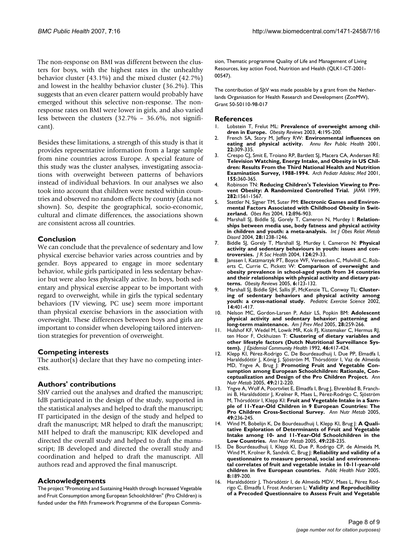The non-response on BMI was different between the clusters for boys, with the highest rates in the unhealthy behavior cluster (43.1%) and the mixed cluster (42.7%) and lowest in the healthy behavior cluster (36.2%). This suggests that an even clearer pattern would probably have emerged without this selective non-response. The nonresponse rates on BMI were lower in girls, and also varied less between the clusters (32.7% – 36.6%, not significant).

Besides these limitations, a strength of this study is that it provides representative information from a large sample from nine countries across Europe. A special feature of this study was the cluster analyses, investigating associations with overweight between patterns of behaviors instead of individual behaviors. In our analyses we also took into account that children were nested within countries and observed no random effects by country (data not shown). So, despite the geographical, socio-economic, cultural and climate differences, the associations shown are consistent across all countries.

# **Conclusion**

We can conclude that the prevalence of sedentary and low physical exercise behavior varies across countries and by gender. Boys appeared to engage in more sedentary behavior, while girls participated in less sedentary behavior but were also less physically active. In boys, both sedentary and physical exercise appear to be important with regard to overweight, while in girls the typical sedentary behaviors (TV viewing, PC use) seem more important than physical exercise behaviors in the association with overweight. These differences between boys and girls are important to consider when developing tailored intervention strategies for prevention of overweight.

### **Competing interests**

The author(s) declare that they have no competing interests.

## **Authors' contributions**

SJtV carried out the analyses and drafted the manuscript; IdB participated in the design of the study, supported in the statistical analyses and helped to draft the manuscript; IT participated in the design of the study and helped to draft the manuscript; MR helped to draft the manuscript; MH helped to draft the manuscript; KIK developed and directed the overall study and helped to draft the manuscript; JB developed and directed the overall study and coordination and helped to draft the manuscript. All authors read and approved the final manuscript.

# **Acknowledgements**

The project "Promoting and Sustaining Health through Increased Vegetable and Fruit Consumption among European Schoolchildren" (Pro Children) is funded under the Fifth Framework Programme of the European Commission, Thematic programme Quality of Life and Management of Living Resources, key action Food, Nutrition and Health (QLK1-CT-2001- 00547).

The contribution of SJtV was made possible by a grant from the Netherlands Organisation for Health Research and Development (ZonMW), Grant 50-50110-98-017

#### **References**

- 1. Lobstein T, Frelut ML: **[Prevalence of overweight among chil](http://www.ncbi.nlm.nih.gov/entrez/query.fcgi?cmd=Retrieve&db=PubMed&dopt=Abstract&list_uids=14649370)[dren in Europe.](http://www.ncbi.nlm.nih.gov/entrez/query.fcgi?cmd=Retrieve&db=PubMed&dopt=Abstract&list_uids=14649370)** *Obesity Reviews* 2003, **4:**195-200.
- 2. French SA, Story M, Jeffery RW: **[Environmental influences on](http://www.ncbi.nlm.nih.gov/entrez/query.fcgi?cmd=Retrieve&db=PubMed&dopt=Abstract&list_uids=11274524) [eating and physical activity.](http://www.ncbi.nlm.nih.gov/entrez/query.fcgi?cmd=Retrieve&db=PubMed&dopt=Abstract&list_uids=11274524)** *Annu Rev Public Health* 2001, **22:**309-335.
- 3. Crespo CJ, Smit E, Troiano RP, Bartlett SJ, Macera CA, Andersen RE: **[Television Watching, Energy Intake, and Obesity in US Chil](http://www.ncbi.nlm.nih.gov/entrez/query.fcgi?cmd=Retrieve&db=PubMed&dopt=Abstract&list_uids=11231802)dren: Results From the Third National Health and Nutrition [Examination Survey, 1988-1994.](http://www.ncbi.nlm.nih.gov/entrez/query.fcgi?cmd=Retrieve&db=PubMed&dopt=Abstract&list_uids=11231802)** *Arch Pediatr Adolesc Med* 2001, **155:**360-365.
- 4. Robinson TN: **[Reducing Children's Television Viewing to Pre](http://www.ncbi.nlm.nih.gov/entrez/query.fcgi?cmd=Retrieve&db=PubMed&dopt=Abstract&list_uids=10546696)[vent Obesity: A Randomized Controlled Trial.](http://www.ncbi.nlm.nih.gov/entrez/query.fcgi?cmd=Retrieve&db=PubMed&dopt=Abstract&list_uids=10546696)** *JAMA* 1999, **282:**1561-1567.
- 5. Stettler N, Signer TM, Suter PM: **[Electronic Games and Environ](http://www.ncbi.nlm.nih.gov/entrez/query.fcgi?cmd=Retrieve&db=PubMed&dopt=Abstract&list_uids=15229327)[mental Factors Associated with Childhood Obesity in Swit](http://www.ncbi.nlm.nih.gov/entrez/query.fcgi?cmd=Retrieve&db=PubMed&dopt=Abstract&list_uids=15229327)[zerland.](http://www.ncbi.nlm.nih.gov/entrez/query.fcgi?cmd=Retrieve&db=PubMed&dopt=Abstract&list_uids=15229327)** *Obes Res* 2004, **12:**896-903.
- 6. Marshall SJ, Biddle SJ, Gorely T, Cameron N, Murdey I: **[Relation](http://www.ncbi.nlm.nih.gov/entrez/query.fcgi?cmd=Retrieve&db=PubMed&dopt=Abstract&list_uids=15314635)[ships between media use, body fatness and physical activity](http://www.ncbi.nlm.nih.gov/entrez/query.fcgi?cmd=Retrieve&db=PubMed&dopt=Abstract&list_uids=15314635) [in children and youth: a meta-analysis.](http://www.ncbi.nlm.nih.gov/entrez/query.fcgi?cmd=Retrieve&db=PubMed&dopt=Abstract&list_uids=15314635)** *Int J Obes Relat Metab Disord* 2004, **28:**1238-1246.
- 7. Biddle SJ, Gorely T, Marshall SJ, Murdey I, Cameron N: **[Physical](http://www.ncbi.nlm.nih.gov/entrez/query.fcgi?cmd=Retrieve&db=PubMed&dopt=Abstract&list_uids=14971190) [activity and sedentary behaviours in youth: issues and con](http://www.ncbi.nlm.nih.gov/entrez/query.fcgi?cmd=Retrieve&db=PubMed&dopt=Abstract&list_uids=14971190)[troversies.](http://www.ncbi.nlm.nih.gov/entrez/query.fcgi?cmd=Retrieve&db=PubMed&dopt=Abstract&list_uids=14971190)** *J R Soc Health* 2004, **124:**29-33.
- 8. Janssen I, Katzmarzyk PT, Boyce WF, Vereecken C, Mulvihill C, Roberts C, Currie C, Pickett W: **[Comparison of overweight and](http://www.ncbi.nlm.nih.gov/entrez/query.fcgi?cmd=Retrieve&db=PubMed&dopt=Abstract&list_uids=15836463) [obesity prevalence in school-aged youth from 34 countries](http://www.ncbi.nlm.nih.gov/entrez/query.fcgi?cmd=Retrieve&db=PubMed&dopt=Abstract&list_uids=15836463) and their relationships with physical activity and dietary pat[terns.](http://www.ncbi.nlm.nih.gov/entrez/query.fcgi?cmd=Retrieve&db=PubMed&dopt=Abstract&list_uids=15836463)** *Obesity Reviews* 2005, **6:**123-132.
- 9. Marshall SJ, Biddle SJH, Sallis JF, McKenzie TL, Conway TL: **Clustering of sedentary behaviors and physical activity among youth: a cross-national study.** *Pediatric Exercise Science* 2002, **14:**401-417.
- 10. Nelson MC, Gordon-Larsen P, Adair LS, Popkin BM: **[Adolescent](http://www.ncbi.nlm.nih.gov/entrez/query.fcgi?cmd=Retrieve&db=PubMed&dopt=Abstract&list_uids=15766613) [physical activity and sedentary behavior: patterning and](http://www.ncbi.nlm.nih.gov/entrez/query.fcgi?cmd=Retrieve&db=PubMed&dopt=Abstract&list_uids=15766613) [long-term maintenance.](http://www.ncbi.nlm.nih.gov/entrez/query.fcgi?cmd=Retrieve&db=PubMed&dopt=Abstract&list_uids=15766613)** *Am J Prev Med* 2005, **28:**259-266.
- 11. Hulshof KF, Wedel M, Lowik MR, Kok FJ, Kistemaker C, Hermus RJ, ten Hoor F, Ockhuizen T: **[Clustering of dietary variables and](http://www.ncbi.nlm.nih.gov/entrez/query.fcgi?cmd=Retrieve&db=PubMed&dopt=Abstract&list_uids=1431719) [other lifestyle factors \(Dutch Nutritional Surveillance Sys](http://www.ncbi.nlm.nih.gov/entrez/query.fcgi?cmd=Retrieve&db=PubMed&dopt=Abstract&list_uids=1431719)[tem\).](http://www.ncbi.nlm.nih.gov/entrez/query.fcgi?cmd=Retrieve&db=PubMed&dopt=Abstract&list_uids=1431719)** *J Epidemiol Community Health* 1992, **46:**417-424.
- 12. Klepp KI, Pérez-Rodrigo C, De Bourdeaudhuij I, Due PP, Elmadfa I, Haraldsdóttir J, König J, Sjöström M, Thórsdóttir I, Vaz de Almeida MD, Yngve A, Brug J: **[Promoting Fruit and Vegetable Con](http://www.ncbi.nlm.nih.gov/entrez/query.fcgi?cmd=Retrieve&db=PubMed&dopt=Abstract&list_uids=16088084)[sumption among European Schoolchildren: Rationale, Con](http://www.ncbi.nlm.nih.gov/entrez/query.fcgi?cmd=Retrieve&db=PubMed&dopt=Abstract&list_uids=16088084)[ceptualization and Design of the Pro Children Project.](http://www.ncbi.nlm.nih.gov/entrez/query.fcgi?cmd=Retrieve&db=PubMed&dopt=Abstract&list_uids=16088084)** *Ann Nutr Metab* 2005, **49:**212-220.
- 13. Yngve A, Wolf A, Poortvliet E, Elmadfa I, Brug J, Ehrenblad B, Franchini B, Haraldsdóttir J, Krølner R, Maes L, Pérez-Rodrigo C, Sjöström M, Thórsdóttir I, Klepp KI: **[Fruit and Vegetable Intake in a Sam](http://www.ncbi.nlm.nih.gov/entrez/query.fcgi?cmd=Retrieve&db=PubMed&dopt=Abstract&list_uids=16088087)[ple of 11-Year-Old Children in 9 European Countries: The](http://www.ncbi.nlm.nih.gov/entrez/query.fcgi?cmd=Retrieve&db=PubMed&dopt=Abstract&list_uids=16088087) [Pro Children Cross-Sectional Survey.](http://www.ncbi.nlm.nih.gov/entrez/query.fcgi?cmd=Retrieve&db=PubMed&dopt=Abstract&list_uids=16088087)** *Ann Nutr Metab* 2005, **49:**236-245.
- 14. Wind M, Bobelijn K, De Bourdeaudhuij I, Klepp KI, Brug J: **[A Quali](http://www.ncbi.nlm.nih.gov/entrez/query.fcgi?cmd=Retrieve&db=PubMed&dopt=Abstract&list_uids=16088086)[tative Exploration of Determinants of Fruit and Vegetable](http://www.ncbi.nlm.nih.gov/entrez/query.fcgi?cmd=Retrieve&db=PubMed&dopt=Abstract&list_uids=16088086) Intake among 10- and 11-Year-Old Schoolchildren in the [Low Countries.](http://www.ncbi.nlm.nih.gov/entrez/query.fcgi?cmd=Retrieve&db=PubMed&dopt=Abstract&list_uids=16088086)** *Ann Nutr Metab* 2005, **49:**228-235.
- 15. De Bourdeaudhuij I, Klepp KI, Due P, Rodrigo CP, de Almeida M, Wind M, Krolner R, Sandvik C, Brug J: **[Reliability and validity of a](http://www.ncbi.nlm.nih.gov/entrez/query.fcgi?cmd=Retrieve&db=PubMed&dopt=Abstract&list_uids=15877912) [questionnaire to measure personal, social and environmen](http://www.ncbi.nlm.nih.gov/entrez/query.fcgi?cmd=Retrieve&db=PubMed&dopt=Abstract&list_uids=15877912)tal correlates of fruit and vegetable intake in 10-11-year-old [children in five European countries.](http://www.ncbi.nlm.nih.gov/entrez/query.fcgi?cmd=Retrieve&db=PubMed&dopt=Abstract&list_uids=15877912)** *Public Health Nutr* 2005, **8:**189-200.
- 16. Haraldsdóttir J, Thórsdóttir I, de Almeida MDV, Maes L, Pérez Rodrigo C, Elmadfa I, Frost Andersen L: **[Validity and Reproducibility](http://www.ncbi.nlm.nih.gov/entrez/query.fcgi?cmd=Retrieve&db=PubMed&dopt=Abstract&list_uids=16088085) [of a Precoded Questionnaire to Assess Fruit and Vegetable](http://www.ncbi.nlm.nih.gov/entrez/query.fcgi?cmd=Retrieve&db=PubMed&dopt=Abstract&list_uids=16088085)**